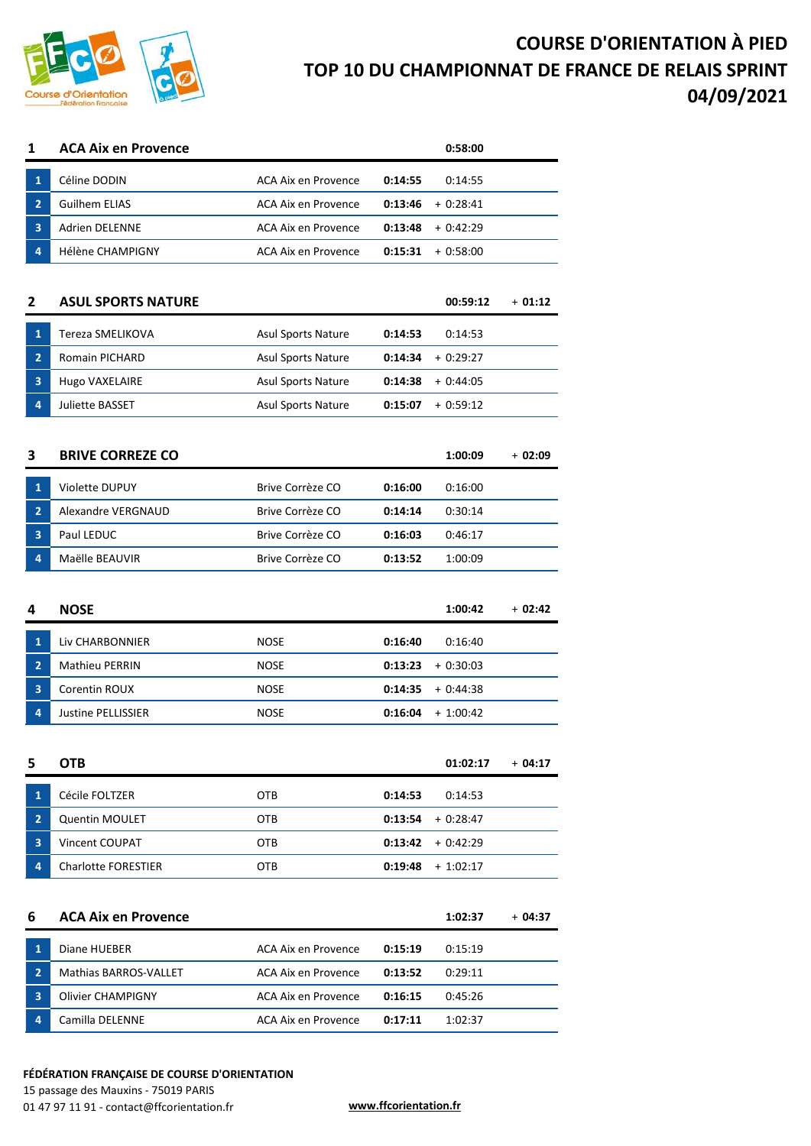

## **COURSE D'ORIENTATION À PIED TOP 10 DU CHAMPIONNAT DE FRANCE DE RELAIS SPRINT 04/09/2021**

| $\mathbf{1}$                   | Céline DODIN                             | ACA Aix en Provence        | 0:14:55            | 0:14:55                  |          |
|--------------------------------|------------------------------------------|----------------------------|--------------------|--------------------------|----------|
| $\overline{2}$                 | <b>Guilhem ELIAS</b>                     | <b>ACA Aix en Provence</b> | 0:13:46            | $+0:28:41$               |          |
| 3                              | Adrien DELENNE                           | <b>ACA Aix en Provence</b> | 0:13:48            | $+0:42:29$               |          |
| 4                              | <b>Hélène CHAMPIGNY</b>                  | <b>ACA Aix en Provence</b> | 0:15:31            | $+0:58:00$               |          |
|                                |                                          |                            |                    |                          |          |
| $\mathbf{2}$                   | <b>ASUL SPORTS NATURE</b>                |                            |                    | 00:59:12                 | $+01:12$ |
| $\mathbf{1}$                   | Tereza SMELIKOVA                         | <b>Asul Sports Nature</b>  | 0:14:53            | 0:14:53                  |          |
| $\overline{2}$                 | Romain PICHARD                           | Asul Sports Nature         | 0:14:34            | $+0:29:27$               |          |
| 3                              | Hugo VAXELAIRE                           | Asul Sports Nature         | 0:14:38            | $+0:44:05$               |          |
| 4                              | Juliette BASSET                          | Asul Sports Nature         | 0:15:07            | $+0:59:12$               |          |
|                                |                                          |                            |                    |                          |          |
| 3                              | <b>BRIVE CORREZE CO</b>                  |                            |                    | 1:00:09                  | + 02:09  |
| $\mathbf{1}$                   | Violette DUPUY                           | Brive Corrèze CO           | 0:16:00            | 0:16:00                  |          |
| $\overline{2}$                 | <b>Alexandre VERGNAUD</b>                | Brive Corrèze CO           | 0:14:14            | 0:30:14                  |          |
| 3                              | Paul LEDUC                               | Brive Corrèze CO           | 0:16:03            | 0:46:17                  |          |
| 4                              | Maëlle BEAUVIR                           | Brive Corrèze CO           | 0:13:52            | 1:00:09                  |          |
|                                |                                          |                            |                    |                          |          |
|                                |                                          |                            |                    |                          |          |
| 4                              | <b>NOSE</b>                              |                            |                    | 1:00:42                  | $+02:42$ |
|                                |                                          |                            |                    |                          |          |
| $\mathbf{1}$<br>$\overline{2}$ | Liv CHARBONNIER<br><b>Mathieu PERRIN</b> | <b>NOSE</b><br><b>NOSE</b> | 0:16:40<br>0:13:23 | 0:16:40                  |          |
| 3                              | Corentin ROUX                            | <b>NOSE</b>                |                    | $+0:30:03$<br>$+0:44:38$ |          |
| 4                              | <b>Justine PELLISSIER</b>                | <b>NOSE</b>                | 0:14:35<br>0:16:04 | $+ 1:00:42$              |          |
|                                |                                          |                            |                    |                          |          |
| 5                              |                                          |                            |                    | 01:02:17                 | + 04:17  |
|                                | <b>OTB</b>                               |                            |                    |                          |          |
| $\mathbf{1}$                   | Cécile FOLTZER                           | OTB                        | 0:14:53            | 0:14:53                  |          |
| $\overline{2}$                 | Quentin MOULET                           | OTB                        | 0:13:54            | + 0:28:47                |          |
| 3                              | Vincent COUPAT                           | OTB                        | 0:13:42            | $+0:42:29$               |          |
| 4                              | <b>Charlotte FORESTIER</b>               | <b>OTB</b>                 | 0:19:48            | $+ 1:02:17$              |          |
|                                |                                          |                            |                    |                          |          |
| 6                              | <b>ACA Aix en Provence</b>               |                            |                    | 1:02:37                  | + 04:37  |
| $\mathbf{1}$                   | Diane HUEBER                             | ACA Aix en Provence        | 0:15:19            | 0:15:19                  |          |
| $\overline{2}$                 | Mathias BARROS-VALLET                    | ACA Aix en Provence        | 0:13:52            | 0:29:11                  |          |
| 3                              | Olivier CHAMPIGNY                        | <b>ACA Aix en Provence</b> | 0:16:15            | 0:45:26                  |          |
| 4                              | Camilla DELENNE                          | ACA Aix en Provence        | 0:17:11            | 1:02:37                  |          |

**ACA Aix en Provence 0:58:00**

## **FÉDÉRATION FRANÇAISE DE COURSE D'ORIENTATION**

15 passage des Mauxins - 75019 PARIS 01 47 97 11 91 - contact@ffcorientation.fr **www.ffcorientation.fr**